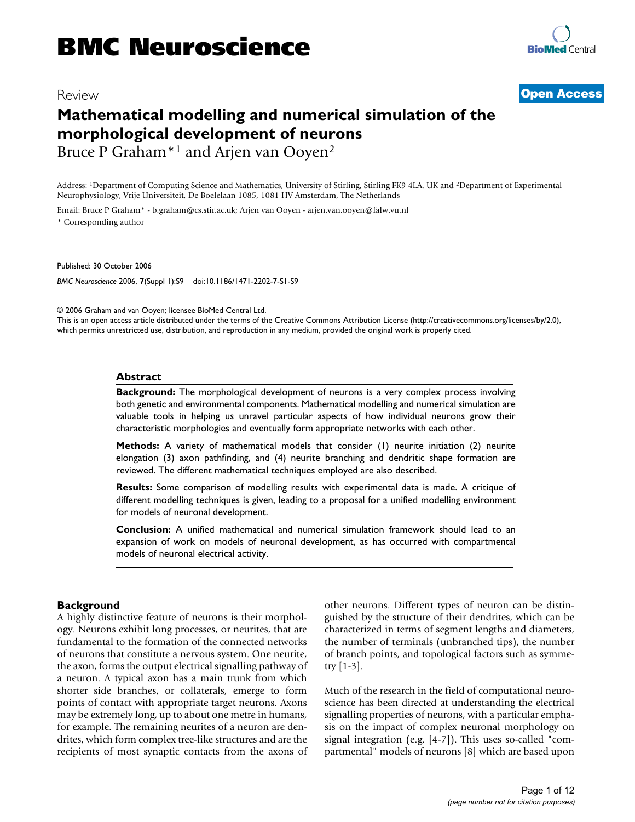# Review **[Open Access](http://www.biomedcentral.com/info/about/charter/)**

# **Mathematical modelling and numerical simulation of the morphological development of neurons** Bruce P Graham\*1 and Arjen van Ooyen2

Address: 1Department of Computing Science and Mathematics, University of Stirling, Stirling FK9 4LA, UK and 2Department of Experimental Neurophysiology, Vrije Universiteit, De Boelelaan 1085, 1081 HV Amsterdam, The Netherlands

Email: Bruce P Graham\* - b.graham@cs.stir.ac.uk; Arjen van Ooyen - arjen.van.ooyen@falw.vu.nl \* Corresponding author

Published: 30 October 2006 *BMC Neuroscience* 2006, **7**(Suppl 1):S9 doi:10.1186/1471-2202-7-S1-S9

© 2006 Graham and van Ooyen; licensee BioMed Central Ltd.

This is an open access article distributed under the terms of the Creative Commons Attribution License [\(http://creativecommons.org/licenses/by/2.0\)](http://creativecommons.org/licenses/by/2.0), which permits unrestricted use, distribution, and reproduction in any medium, provided the original work is properly cited.

#### **Abstract**

**Background:** The morphological development of neurons is a very complex process involving both genetic and environmental components. Mathematical modelling and numerical simulation are valuable tools in helping us unravel particular aspects of how individual neurons grow their characteristic morphologies and eventually form appropriate networks with each other.

**Methods:** A variety of mathematical models that consider (1) neurite initiation (2) neurite elongation (3) axon pathfinding, and (4) neurite branching and dendritic shape formation are reviewed. The different mathematical techniques employed are also described.

**Results:** Some comparison of modelling results with experimental data is made. A critique of different modelling techniques is given, leading to a proposal for a unified modelling environment for models of neuronal development.

**Conclusion:** A unified mathematical and numerical simulation framework should lead to an expansion of work on models of neuronal development, as has occurred with compartmental models of neuronal electrical activity.

#### **Background**

A highly distinctive feature of neurons is their morphology. Neurons exhibit long processes, or neurites, that are fundamental to the formation of the connected networks of neurons that constitute a nervous system. One neurite, the axon, forms the output electrical signalling pathway of a neuron. A typical axon has a main trunk from which shorter side branches, or collaterals, emerge to form points of contact with appropriate target neurons. Axons may be extremely long, up to about one metre in humans, for example. The remaining neurites of a neuron are dendrites, which form complex tree-like structures and are the recipients of most synaptic contacts from the axons of other neurons. Different types of neuron can be distinguished by the structure of their dendrites, which can be characterized in terms of segment lengths and diameters, the number of terminals (unbranched tips), the number of branch points, and topological factors such as symmetry [1-3].

Much of the research in the field of computational neuroscience has been directed at understanding the electrical signalling properties of neurons, with a particular emphasis on the impact of complex neuronal morphology on signal integration (e.g. [4-7]). This uses so-called "compartmental" models of neurons [8] which are based upon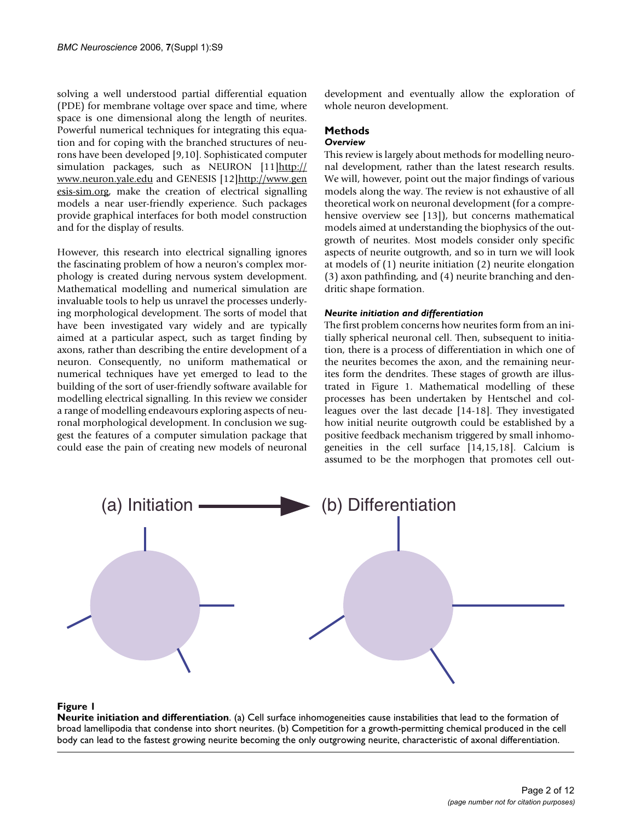solving a well understood partial differential equation (PDE) for membrane voltage over space and time, where space is one dimensional along the length of neurites. Powerful numerical techniques for integrating this equation and for coping with the branched structures of neurons have been developed [9,10]. Sophisticated computer simulation packages, such as NEURON [11][http://](http://www.neuron.yale.edu) [www.neuron.yale.edu](http://www.neuron.yale.edu) and GENESIS [12][http://www.gen](http://www.genesis-sim.org) [esis-sim.org,](http://www.genesis-sim.org) make the creation of electrical signalling models a near user-friendly experience. Such packages provide graphical interfaces for both model construction and for the display of results.

However, this research into electrical signalling ignores the fascinating problem of how a neuron's complex morphology is created during nervous system development. Mathematical modelling and numerical simulation are invaluable tools to help us unravel the processes underlying morphological development. The sorts of model that have been investigated vary widely and are typically aimed at a particular aspect, such as target finding by axons, rather than describing the entire development of a neuron. Consequently, no uniform mathematical or numerical techniques have yet emerged to lead to the building of the sort of user-friendly software available for modelling electrical signalling. In this review we consider a range of modelling endeavours exploring aspects of neuronal morphological development. In conclusion we suggest the features of a computer simulation package that could ease the pain of creating new models of neuronal

development and eventually allow the exploration of whole neuron development.

# **Methods**

# *Overview*

This review is largely about methods for modelling neuronal development, rather than the latest research results. We will, however, point out the major findings of various models along the way. The review is not exhaustive of all theoretical work on neuronal development (for a comprehensive overview see [13]), but concerns mathematical models aimed at understanding the biophysics of the outgrowth of neurites. Most models consider only specific aspects of neurite outgrowth, and so in turn we will look at models of (1) neurite initiation (2) neurite elongation (3) axon pathfinding, and (4) neurite branching and dendritic shape formation.

#### *Neurite initiation and differentiation*

The first problem concerns how neurites form from an initially spherical neuronal cell. Then, subsequent to initiation, there is a process of differentiation in which one of the neurites becomes the axon, and the remaining neurites form the dendrites. These stages of growth are illustrated in Figure 1. Mathematical modelling of these processes has been undertaken by Hentschel and colleagues over the last decade [14-18]. They investigated how initial neurite outgrowth could be established by a positive feedback mechanism triggered by small inhomogeneities in the cell surface [14,15,18]. Calcium is assumed to be the morphogen that promotes cell out-



#### **Figure 1**

**Neurite initiation and differentiation**. (a) Cell surface inhomogeneities cause instabilities that lead to the formation of broad lamellipodia that condense into short neurites. (b) Competition for a growth-permitting chemical produced in the cell body can lead to the fastest growing neurite becoming the only outgrowing neurite, characteristic of axonal differentiation.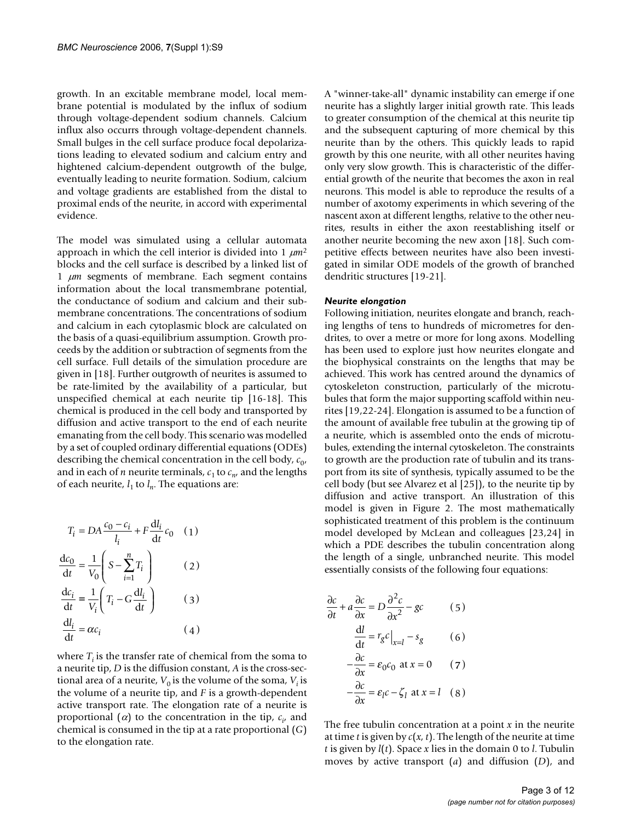growth. In an excitable membrane model, local membrane potential is modulated by the influx of sodium through voltage-dependent sodium channels. Calcium influx also occurrs through voltage-dependent channels. Small bulges in the cell surface produce focal depolarizations leading to elevated sodium and calcium entry and hightened calcium-dependent outgrowth of the bulge, eventually leading to neurite formation. Sodium, calcium and voltage gradients are established from the distal to proximal ends of the neurite, in accord with experimental evidence.

The model was simulated using a cellular automata approach in which the cell interior is divided into 1 μ*m*<sup>2</sup> blocks and the cell surface is described by a linked list of 1 μ*m* segments of membrane. Each segment contains information about the local transmembrane potential, the conductance of sodium and calcium and their submembrane concentrations. The concentrations of sodium and calcium in each cytoplasmic block are calculated on the basis of a quasi-equilibrium assumption. Growth proceeds by the addition or subtraction of segments from the cell surface. Full details of the simulation procedure are given in [18]. Further outgrowth of neurites is assumed to be rate-limited by the availability of a particular, but unspecified chemical at each neurite tip [16-18]. This chemical is produced in the cell body and transported by diffusion and active transport to the end of each neurite emanating from the cell body. This scenario was modelled by a set of coupled ordinary differential equations (ODEs) describing the chemical concentration in the cell body,  $c_{0}$ , and in each of *n* neurite terminals,  $c_1$  to  $c_n$ , and the lengths of each neurite,  $l_1$  to  $l_n$ . The equations are:

$$
T_i = DA \frac{c_0 - c_i}{l_i} + F \frac{dl_i}{dt} c_0 \quad (1)
$$

$$
\frac{dc_0}{dt} = \frac{1}{V_0} \left( S - \sum_{i=1}^n T_i \right) \qquad (2)
$$

$$
\frac{dc_i}{dt} = \frac{1}{V_i} \left( T_i - G \frac{dl_i}{dt} \right) \qquad (3)
$$

$$
\frac{dl_i}{dt} = \alpha c_i \qquad (4)
$$

where  $T_i$  is the transfer rate of chemical from the soma to a neurite tip, *D* is the diffusion constant, *A* is the cross-sectional area of a neurite,  $V_0$  is the volume of the soma,  $V_i$  is the volume of a neurite tip, and *F* is a growth-dependent active transport rate. The elongation rate of a neurite is proportional  $(\alpha)$  to the concentration in the tip,  $c_i$ , and chemical is consumed in the tip at a rate proportional (*G*) to the elongation rate.

A "winner-take-all" dynamic instability can emerge if one neurite has a slightly larger initial growth rate. This leads to greater consumption of the chemical at this neurite tip and the subsequent capturing of more chemical by this neurite than by the others. This quickly leads to rapid growth by this one neurite, with all other neurites having only very slow growth. This is characteristic of the differential growth of the neurite that becomes the axon in real neurons. This model is able to reproduce the results of a number of axotomy experiments in which severing of the nascent axon at different lengths, relative to the other neurites, results in either the axon reestablishing itself or another neurite becoming the new axon [18]. Such competitive effects between neurites have also been investigated in similar ODE models of the growth of branched dendritic structures [19-21].

#### *Neurite elongation*

Following initiation, neurites elongate and branch, reaching lengths of tens to hundreds of micrometres for dendrites, to over a metre or more for long axons. Modelling has been used to explore just how neurites elongate and the biophysical constraints on the lengths that may be achieved. This work has centred around the dynamics of cytoskeleton construction, particularly of the microtubules that form the major supporting scaffold within neurites [19,22-24]. Elongation is assumed to be a function of the amount of available free tubulin at the growing tip of a neurite, which is assembled onto the ends of microtubules, extending the internal cytoskeleton. The constraints to growth are the production rate of tubulin and its transport from its site of synthesis, typically assumed to be the cell body (but see Alvarez et al [25]), to the neurite tip by diffusion and active transport. An illustration of this model is given in Figure 2. The most mathematically sophisticated treatment of this problem is the continuum model developed by McLean and colleagues [23,24] in which a PDE describes the tubulin concentration along the length of a single, unbranched neurite. This model essentially consists of the following four equations:

$$
\frac{\partial c}{\partial t} + a \frac{\partial c}{\partial x} = D \frac{\partial^2 c}{\partial x^2} - gc \qquad (5)
$$

$$
\frac{dl}{dt} = r_g c \Big|_{x=l} - s_g \qquad (6)
$$

$$
-\frac{\partial c}{\partial x} = \varepsilon_0 c_0 \text{ at } x = 0 \qquad (7)
$$

$$
-\frac{\partial c}{\partial x} = \varepsilon_l c - \zeta_l \text{ at } x = l \quad (8)
$$

The free tubulin concentration at a point *x* in the neurite at time *t* is given by  $c(x, t)$ . The length of the neurite at time *t* is given by *l*(*t*). Space *x* lies in the domain 0 to *l*. Tubulin moves by active transport (*a*) and diffusion (*D*), and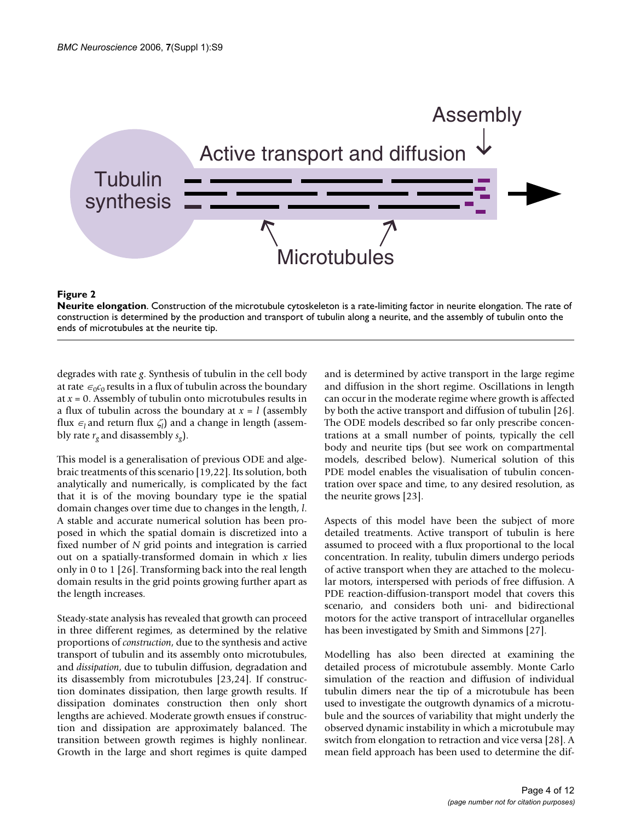

#### **Figure 2**

**Neurite elongation**. Construction of the microtubule cytoskeleton is a rate-limiting factor in neurite elongation. The rate of construction is determined by the production and transport of tubulin along a neurite, and the assembly of tubulin onto the ends of microtubules at the neurite tip.

degrades with rate *g*. Synthesis of tubulin in the cell body at rate  $\epsilon_0 c_0$  results in a flux of tubulin across the boundary at *x* = 0. Assembly of tubulin onto microtubules results in a flux of tubulin across the boundary at  $x = l$  (assembly flux <sup>∈</sup>*l* and return flux ζ*<sup>l</sup>* ) and a change in length (assembly rate  $r_g$  and disassembly  $s_g$ ).

This model is a generalisation of previous ODE and algebraic treatments of this scenario [19,22]. Its solution, both analytically and numerically, is complicated by the fact that it is of the moving boundary type ie the spatial domain changes over time due to changes in the length, *l*. A stable and accurate numerical solution has been proposed in which the spatial domain is discretized into a fixed number of *N* grid points and integration is carried out on a spatially-transformed domain in which *x* lies only in 0 to 1 [26]. Transforming back into the real length domain results in the grid points growing further apart as the length increases.

Steady-state analysis has revealed that growth can proceed in three different regimes, as determined by the relative proportions of *construction*, due to the synthesis and active transport of tubulin and its assembly onto microtubules, and *dissipation*, due to tubulin diffusion, degradation and its disassembly from microtubules [23,24]. If construction dominates dissipation, then large growth results. If dissipation dominates construction then only short lengths are achieved. Moderate growth ensues if construction and dissipation are approximately balanced. The transition between growth regimes is highly nonlinear. Growth in the large and short regimes is quite damped and is determined by active transport in the large regime and diffusion in the short regime. Oscillations in length can occur in the moderate regime where growth is affected by both the active transport and diffusion of tubulin [26]. The ODE models described so far only prescribe concentrations at a small number of points, typically the cell body and neurite tips (but see work on compartmental models, described below). Numerical solution of this PDE model enables the visualisation of tubulin concentration over space and time, to any desired resolution, as the neurite grows [23].

Aspects of this model have been the subject of more detailed treatments. Active transport of tubulin is here assumed to proceed with a flux proportional to the local concentration. In reality, tubulin dimers undergo periods of active transport when they are attached to the molecular motors, interspersed with periods of free diffusion. A PDE reaction-diffusion-transport model that covers this scenario, and considers both uni- and bidirectional motors for the active transport of intracellular organelles has been investigated by Smith and Simmons [27].

Modelling has also been directed at examining the detailed process of microtubule assembly. Monte Carlo simulation of the reaction and diffusion of individual tubulin dimers near the tip of a microtubule has been used to investigate the outgrowth dynamics of a microtubule and the sources of variability that might underly the observed dynamic instability in which a microtubule may switch from elongation to retraction and vice versa [28]. A mean field approach has been used to determine the dif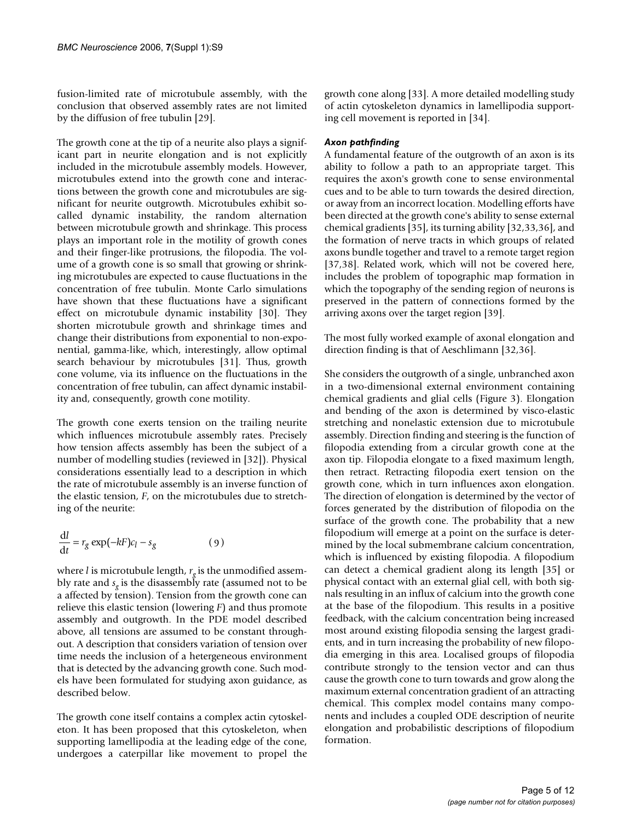fusion-limited rate of microtubule assembly, with the conclusion that observed assembly rates are not limited by the diffusion of free tubulin [29].

The growth cone at the tip of a neurite also plays a significant part in neurite elongation and is not explicitly included in the microtubule assembly models. However, microtubules extend into the growth cone and interactions between the growth cone and microtubules are significant for neurite outgrowth. Microtubules exhibit socalled dynamic instability, the random alternation between microtubule growth and shrinkage. This process plays an important role in the motility of growth cones and their finger-like protrusions, the filopodia. The volume of a growth cone is so small that growing or shrinking microtubules are expected to cause fluctuations in the concentration of free tubulin. Monte Carlo simulations have shown that these fluctuations have a significant effect on microtubule dynamic instability [30]. They shorten microtubule growth and shrinkage times and change their distributions from exponential to non-exponential, gamma-like, which, interestingly, allow optimal search behaviour by microtubules [31]. Thus, growth cone volume, via its influence on the fluctuations in the concentration of free tubulin, can affect dynamic instability and, consequently, growth cone motility.

The growth cone exerts tension on the trailing neurite which influences microtubule assembly rates. Precisely how tension affects assembly has been the subject of a number of modelling studies (reviewed in [32]). Physical considerations essentially lead to a description in which the rate of microtubule assembly is an inverse function of the elastic tension, *F*, on the microtubules due to stretching of the neurite:

$$
\frac{\mathrm{d}l}{\mathrm{d}t} = r_g \exp(-kF)c_l - s_g \tag{9}
$$

where *l* is microtubule length,  $r<sub>e</sub>$  is the unmodified assembly rate and  $s<sub>e</sub>$  is the disassembly rate (assumed not to be a affected by tension). Tension from the growth cone can relieve this elastic tension (lowering *F*) and thus promote assembly and outgrowth. In the PDE model described above, all tensions are assumed to be constant throughout. A description that considers variation of tension over time needs the inclusion of a hetergeneous environment that is detected by the advancing growth cone. Such models have been formulated for studying axon guidance, as described below.

The growth cone itself contains a complex actin cytoskeleton. It has been proposed that this cytoskeleton, when supporting lamellipodia at the leading edge of the cone, undergoes a caterpillar like movement to propel the growth cone along [33]. A more detailed modelling study of actin cytoskeleton dynamics in lamellipodia supporting cell movement is reported in [34].

#### *Axon pathfinding*

A fundamental feature of the outgrowth of an axon is its ability to follow a path to an appropriate target. This requires the axon's growth cone to sense environmental cues and to be able to turn towards the desired direction, or away from an incorrect location. Modelling efforts have been directed at the growth cone's ability to sense external chemical gradients [35], its turning ability [32,33,36], and the formation of nerve tracts in which groups of related axons bundle together and travel to a remote target region [37,38]. Related work, which will not be covered here, includes the problem of topographic map formation in which the topography of the sending region of neurons is preserved in the pattern of connections formed by the arriving axons over the target region [39].

The most fully worked example of axonal elongation and direction finding is that of Aeschlimann [32,36].

She considers the outgrowth of a single, unbranched axon in a two-dimensional external environment containing chemical gradients and glial cells (Figure 3). Elongation and bending of the axon is determined by visco-elastic stretching and nonelastic extension due to microtubule assembly. Direction finding and steering is the function of filopodia extending from a circular growth cone at the axon tip. Filopodia elongate to a fixed maximum length, then retract. Retracting filopodia exert tension on the growth cone, which in turn influences axon elongation. The direction of elongation is determined by the vector of forces generated by the distribution of filopodia on the surface of the growth cone. The probability that a new filopodium will emerge at a point on the surface is determined by the local submembrane calcium concentration, which is influenced by existing filopodia. A filopodium can detect a chemical gradient along its length [35] or physical contact with an external glial cell, with both signals resulting in an influx of calcium into the growth cone at the base of the filopodium. This results in a positive feedback, with the calcium concentration being increased most around existing filopodia sensing the largest gradients, and in turn increasing the probability of new filopodia emerging in this area. Localised groups of filopodia contribute strongly to the tension vector and can thus cause the growth cone to turn towards and grow along the maximum external concentration gradient of an attracting chemical. This complex model contains many components and includes a coupled ODE description of neurite elongation and probabilistic descriptions of filopodium formation.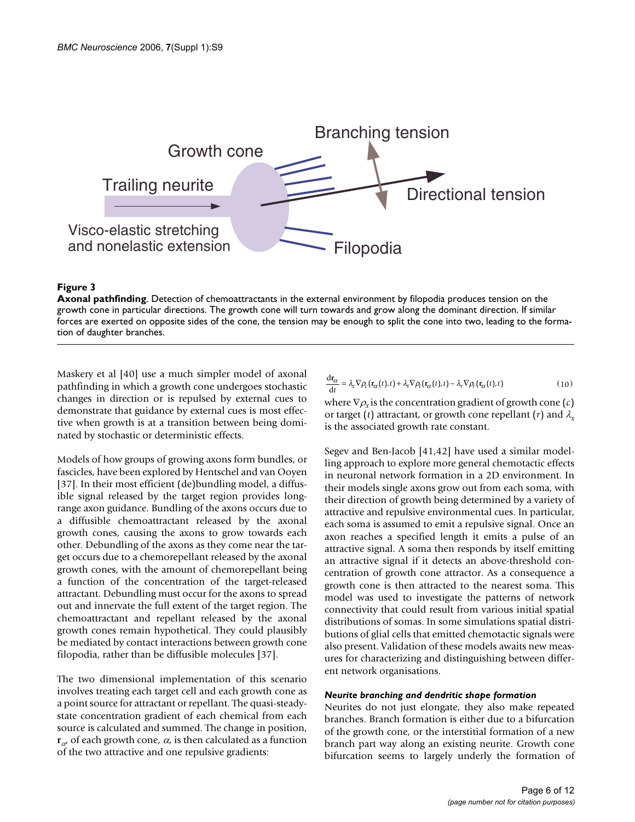

#### **Figure 3**

**Axonal pathfinding**. Detection of chemoattractants in the external environment by filopodia produces tension on the growth cone in particular directions. The growth cone will turn towards and grow along the dominant direction. If similar forces are exerted on opposite sides of the cone, the tension may be enough to split the cone into two, leading to the formation of daughter branches.

Maskery et al [40] use a much simpler model of axonal pathfinding in which a growth cone undergoes stochastic changes in direction or is repulsed by external cues to demonstrate that guidance by external cues is most effective when growth is at a transition between being dominated by stochastic or deterministic effects.

Models of how groups of growing axons form bundles, or fascicles, have been explored by Hentschel and van Ooyen [37]. In their most efficient (de)bundling model, a diffusible signal released by the target region provides longrange axon guidance. Bundling of the axons occurs due to a diffusible chemoattractant released by the axonal growth cones, causing the axons to grow towards each other. Debundling of the axons as they come near the target occurs due to a chemorepellant released by the axonal growth cones, with the amount of chemorepellant being a function of the concentration of the target-released attractant. Debundling must occur for the axons to spread out and innervate the full extent of the target region. The chemoattractant and repellant released by the axonal growth cones remain hypothetical. They could plausibly be mediated by contact interactions between growth cone filopodia, rather than be diffusible molecules [37].

The two dimensional implementation of this scenario involves treating each target cell and each growth cone as a point source for attractant or repellant. The quasi-steadystate concentration gradient of each chemical from each source is calculated and summed. The change in position,  $\mathbf{r}_{\alpha}$  of each growth cone,  $\alpha$ , is then calculated as a function of the two attractive and one repulsive gradients:

$$
\frac{d\mathbf{r}_{\alpha}}{dt} = \lambda_{c} \nabla \rho_{c}(\mathbf{r}_{\alpha}(t), t) + \lambda_{t} \nabla \rho_{t}(\mathbf{r}_{\alpha}(t), t) - \lambda_{r} \nabla \rho_{r}(\mathbf{r}_{\alpha}(t), t)
$$
\n(10)

where  $\nabla \rho_x$  is the concentration gradient of growth cone (*c*) or target (*t*) attractant, or growth cone repellant (*r*) and  $\lambda_r$ is the associated growth rate constant.

Segev and Ben-Jacob [41,42] have used a similar modelling approach to explore more general chemotactic effects in neuronal network formation in a 2D environment. In their models single axons grow out from each soma, with their direction of growth being determined by a variety of attractive and repulsive environmental cues. In particular, each soma is assumed to emit a repulsive signal. Once an axon reaches a specified length it emits a pulse of an attractive signal. A soma then responds by itself emitting an attractive signal if it detects an above-threshold concentration of growth cone attractor. As a consequence a growth cone is then attracted to the nearest soma. This model was used to investigate the patterns of network connectivity that could result from various initial spatial distributions of somas. In some simulations spatial distributions of glial cells that emitted chemotactic signals were also present. Validation of these models awaits new measures for characterizing and distinguishing between different network organisations.

#### *Neurite branching and dendritic shape formation*

Neurites do not just elongate, they also make repeated branches. Branch formation is either due to a bifurcation of the growth cone, or the interstitial formation of a new branch part way along an existing neurite. Growth cone bifurcation seems to largely underly the formation of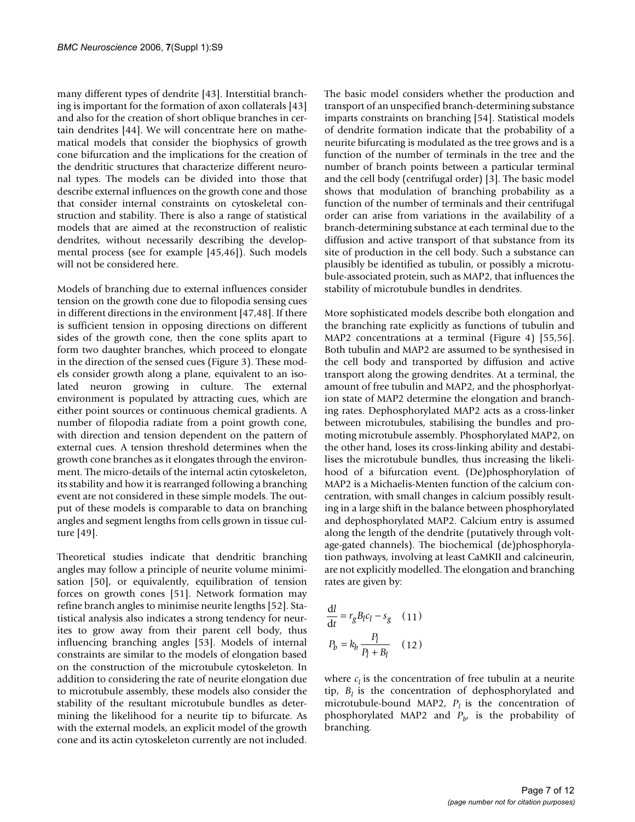many different types of dendrite [43]. Interstitial branching is important for the formation of axon collaterals [43] and also for the creation of short oblique branches in certain dendrites [44]. We will concentrate here on mathematical models that consider the biophysics of growth cone bifurcation and the implications for the creation of the dendritic structures that characterize different neuronal types. The models can be divided into those that describe external influences on the growth cone and those that consider internal constraints on cytoskeletal construction and stability. There is also a range of statistical models that are aimed at the reconstruction of realistic dendrites, without necessarily describing the developmental process (see for example [45,46]). Such models will not be considered here.

Models of branching due to external influences consider tension on the growth cone due to filopodia sensing cues in different directions in the environment [47,48]. If there is sufficient tension in opposing directions on different sides of the growth cone, then the cone splits apart to form two daughter branches, which proceed to elongate in the direction of the sensed cues (Figure 3). These models consider growth along a plane, equivalent to an isolated neuron growing in culture. The external environment is populated by attracting cues, which are either point sources or continuous chemical gradients. A number of filopodia radiate from a point growth cone, with direction and tension dependent on the pattern of external cues. A tension threshold determines when the growth cone branches as it elongates through the environment. The micro-details of the internal actin cytoskeleton, its stability and how it is rearranged following a branching event are not considered in these simple models. The output of these models is comparable to data on branching angles and segment lengths from cells grown in tissue culture [49].

Theoretical studies indicate that dendritic branching angles may follow a principle of neurite volume minimisation [50], or equivalently, equilibration of tension forces on growth cones [51]. Network formation may refine branch angles to minimise neurite lengths [52]. Statistical analysis also indicates a strong tendency for neurites to grow away from their parent cell body, thus influencing branching angles [53]. Models of internal constraints are similar to the models of elongation based on the construction of the microtubule cytoskeleton. In addition to considering the rate of neurite elongation due to microtubule assembly, these models also consider the stability of the resultant microtubule bundles as determining the likelihood for a neurite tip to bifurcate. As with the external models, an explicit model of the growth cone and its actin cytoskeleton currently are not included.

The basic model considers whether the production and transport of an unspecified branch-determining substance imparts constraints on branching [54]. Statistical models of dendrite formation indicate that the probability of a neurite bifurcating is modulated as the tree grows and is a function of the number of terminals in the tree and the number of branch points between a particular terminal and the cell body (centrifugal order) [3]. The basic model shows that modulation of branching probability as a function of the number of terminals and their centrifugal order can arise from variations in the availability of a branch-determining substance at each terminal due to the diffusion and active transport of that substance from its site of production in the cell body. Such a substance can plausibly be identified as tubulin, or possibly a microtubule-associated protein, such as MAP2, that influences the stability of microtubule bundles in dendrites.

More sophisticated models describe both elongation and the branching rate explicitly as functions of tubulin and MAP2 concentrations at a terminal (Figure 4) [55,56]. Both tubulin and MAP2 are assumed to be synthesised in the cell body and transported by diffusion and active transport along the growing dendrites. At a terminal, the amount of free tubulin and MAP2, and the phosphorlyation state of MAP2 determine the elongation and branching rates. Dephosphorylated MAP2 acts as a cross-linker between microtubules, stabilising the bundles and promoting microtubule assembly. Phosphorylated MAP2, on the other hand, loses its cross-linking ability and destabilises the microtubule bundles, thus increasing the likelihood of a bifurcation event. (De)phosphorylation of MAP2 is a Michaelis-Menten function of the calcium concentration, with small changes in calcium possibly resulting in a large shift in the balance between phosphorylated and dephosphorylated MAP2. Calcium entry is assumed along the length of the dendrite (putatively through voltage-gated channels). The biochemical (de)phosphorylation pathways, involving at least CaMKII and calcineurin, are not explicitly modelled. The elongation and branching rates are given by:

$$
\frac{dl}{dt} = r_g B_l c_l - s_g \quad (11)
$$

$$
P_b = k_b \frac{P_l}{P_l + B_l} \quad (12)
$$

where  $c_l$  is the concentration of free tubulin at a neurite tip,  $B_l$  is the concentration of dephosphorylated and microtubule-bound MAP2,  $P_i$  is the concentration of phosphorylated MAP2 and  $P_{b}$ , is the probability of branching.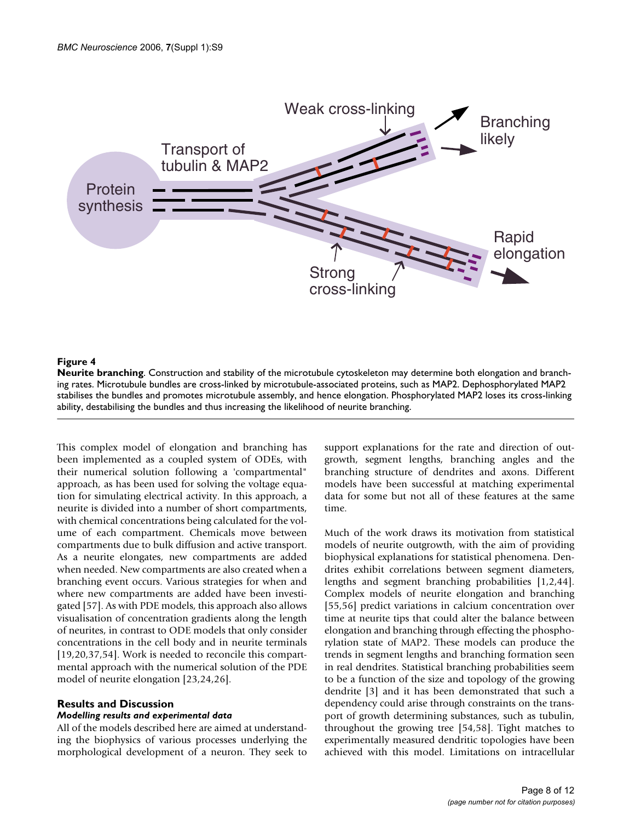

#### **Figure 4**

**Neurite branching**. Construction and stability of the microtubule cytoskeleton may determine both elongation and branching rates. Microtubule bundles are cross-linked by microtubule-associated proteins, such as MAP2. Dephosphorylated MAP2 stabilises the bundles and promotes microtubule assembly, and hence elongation. Phosphorylated MAP2 loses its cross-linking ability, destabilising the bundles and thus increasing the likelihood of neurite branching.

This complex model of elongation and branching has been implemented as a coupled system of ODEs, with their numerical solution following a 'compartmental" approach, as has been used for solving the voltage equation for simulating electrical activity. In this approach, a neurite is divided into a number of short compartments, with chemical concentrations being calculated for the volume of each compartment. Chemicals move between compartments due to bulk diffusion and active transport. As a neurite elongates, new compartments are added when needed. New compartments are also created when a branching event occurs. Various strategies for when and where new compartments are added have been investigated [57]. As with PDE models, this approach also allows visualisation of concentration gradients along the length of neurites, in contrast to ODE models that only consider concentrations in the cell body and in neurite terminals [19,20,37,54]. Work is needed to reconcile this compartmental approach with the numerical solution of the PDE model of neurite elongation [23,24,26].

# **Results and Discussion**

## *Modelling results and experimental data*

All of the models described here are aimed at understanding the biophysics of various processes underlying the morphological development of a neuron. They seek to support explanations for the rate and direction of outgrowth, segment lengths, branching angles and the branching structure of dendrites and axons. Different models have been successful at matching experimental data for some but not all of these features at the same time.

Much of the work draws its motivation from statistical models of neurite outgrowth, with the aim of providing biophysical explanations for statistical phenomena. Dendrites exhibit correlations between segment diameters, lengths and segment branching probabilities [1,2,44]. Complex models of neurite elongation and branching [55,56] predict variations in calcium concentration over time at neurite tips that could alter the balance between elongation and branching through effecting the phosphorylation state of MAP2. These models can produce the trends in segment lengths and branching formation seen in real dendrites. Statistical branching probabilities seem to be a function of the size and topology of the growing dendrite [3] and it has been demonstrated that such a dependency could arise through constraints on the transport of growth determining substances, such as tubulin, throughout the growing tree [54,58]. Tight matches to experimentally measured dendritic topologies have been achieved with this model. Limitations on intracellular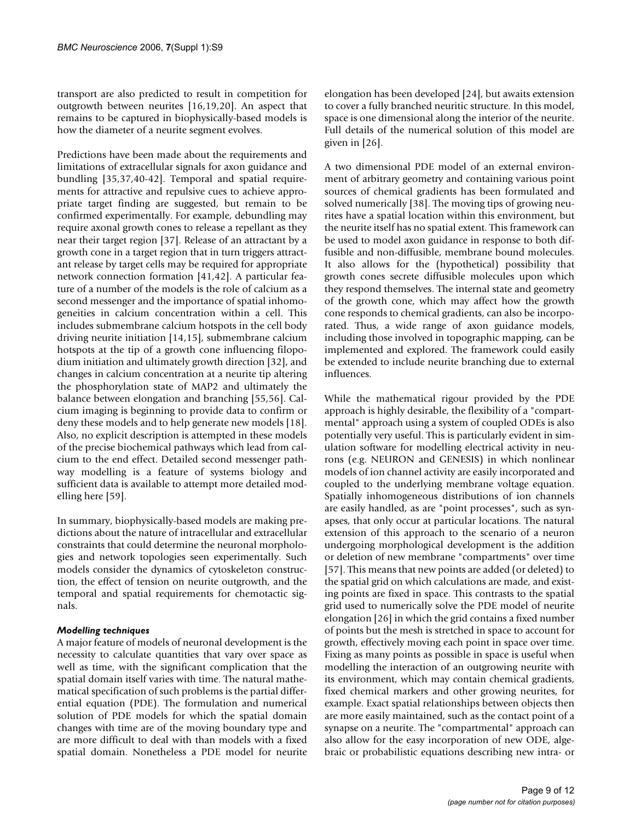transport are also predicted to result in competition for outgrowth between neurites [16,19,20]. An aspect that remains to be captured in biophysically-based models is how the diameter of a neurite segment evolves.

Predictions have been made about the requirements and limitations of extracellular signals for axon guidance and bundling [35,37,40-42]. Temporal and spatial requirements for attractive and repulsive cues to achieve appropriate target finding are suggested, but remain to be confirmed experimentally. For example, debundling may require axonal growth cones to release a repellant as they near their target region [37]. Release of an attractant by a growth cone in a target region that in turn triggers attractant release by target cells may be required for appropriate network connection formation [41,42]. A particular feature of a number of the models is the role of calcium as a second messenger and the importance of spatial inhomogeneities in calcium concentration within a cell. This includes submembrane calcium hotspots in the cell body driving neurite initiation [14,15], submembrane calcium hotspots at the tip of a growth cone influencing filopodium initiation and ultimately growth direction [32], and changes in calcium concentration at a neurite tip altering the phosphorylation state of MAP2 and ultimately the balance between elongation and branching [55,56]. Calcium imaging is beginning to provide data to confirm or deny these models and to help generate new models [18]. Also, no explicit description is attempted in these models of the precise biochemical pathways which lead from calcium to the end effect. Detailed second messenger pathway modelling is a feature of systems biology and sufficient data is available to attempt more detailed modelling here [59].

In summary, biophysically-based models are making predictions about the nature of intracellular and extracellular constraints that could determine the neuronal morphologies and network topologies seen experimentally. Such models consider the dynamics of cytoskeleton construction, the effect of tension on neurite outgrowth, and the temporal and spatial requirements for chemotactic signals.

## *Modelling techniques*

A major feature of models of neuronal development is the necessity to calculate quantities that vary over space as well as time, with the significant complication that the spatial domain itself varies with time. The natural mathematical specification of such problems is the partial differential equation (PDE). The formulation and numerical solution of PDE models for which the spatial domain changes with time are of the moving boundary type and are more difficult to deal with than models with a fixed spatial domain. Nonetheless a PDE model for neurite elongation has been developed [24], but awaits extension to cover a fully branched neuritic structure. In this model, space is one dimensional along the interior of the neurite. Full details of the numerical solution of this model are given in [26].

A two dimensional PDE model of an external environment of arbitrary geometry and containing various point sources of chemical gradients has been formulated and solved numerically [38]. The moving tips of growing neurites have a spatial location within this environment, but the neurite itself has no spatial extent. This framework can be used to model axon guidance in response to both diffusible and non-diffusible, membrane bound molecules. It also allows for the (hypothetical) possibility that growth cones secrete diffusible molecules upon which they respond themselves. The internal state and geometry of the growth cone, which may affect how the growth cone responds to chemical gradients, can also be incorporated. Thus, a wide range of axon guidance models, including those involved in topographic mapping, can be implemented and explored. The framework could easily be extended to include neurite branching due to external influences.

While the mathematical rigour provided by the PDE approach is highly desirable, the flexibility of a "compartmental" approach using a system of coupled ODEs is also potentially very useful. This is particularly evident in simulation software for modelling electrical activity in neurons (e.g. NEURON and GENESIS) in which nonlinear models of ion channel activity are easily incorporated and coupled to the underlying membrane voltage equation. Spatially inhomogeneous distributions of ion channels are easily handled, as are "point processes", such as synapses, that only occur at particular locations. The natural extension of this approach to the scenario of a neuron undergoing morphological development is the addition or deletion of new membrane "compartments" over time [57]. This means that new points are added (or deleted) to the spatial grid on which calculations are made, and existing points are fixed in space. This contrasts to the spatial grid used to numerically solve the PDE model of neurite elongation [26] in which the grid contains a fixed number of points but the mesh is stretched in space to account for growth, effectively moving each point in space over time. Fixing as many points as possible in space is useful when modelling the interaction of an outgrowing neurite with its environment, which may contain chemical gradients, fixed chemical markers and other growing neurites, for example. Exact spatial relationships between objects then are more easily maintained, such as the contact point of a synapse on a neurite. The "compartmental" approach can also allow for the easy incorporation of new ODE, algebraic or probabilistic equations describing new intra- or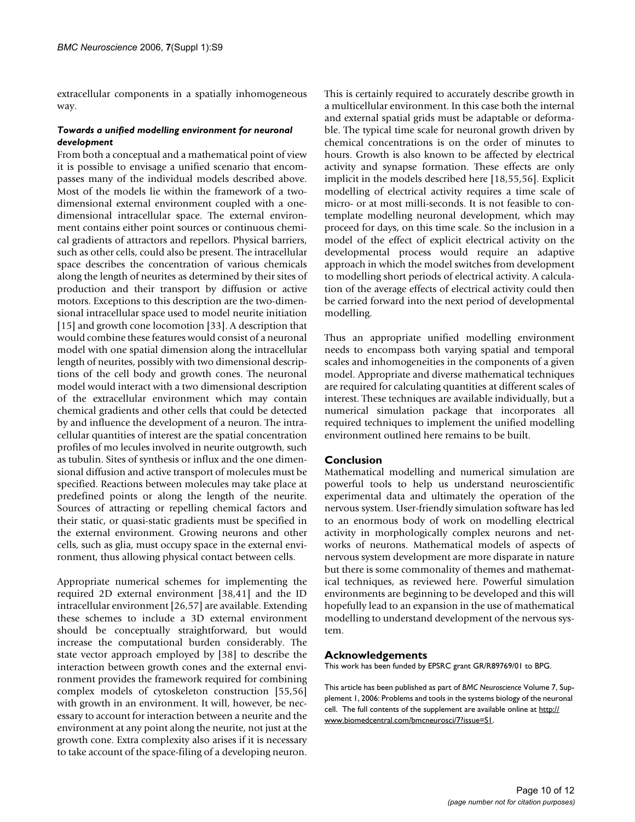extracellular components in a spatially inhomogeneous way.

#### *Towards a unified modelling environment for neuronal development*

From both a conceptual and a mathematical point of view it is possible to envisage a unified scenario that encompasses many of the individual models described above. Most of the models lie within the framework of a twodimensional external environment coupled with a onedimensional intracellular space. The external environment contains either point sources or continuous chemical gradients of attractors and repellors. Physical barriers, such as other cells, could also be present. The intracellular space describes the concentration of various chemicals along the length of neurites as determined by their sites of production and their transport by diffusion or active motors. Exceptions to this description are the two-dimensional intracellular space used to model neurite initiation [15] and growth cone locomotion [33]. A description that would combine these features would consist of a neuronal model with one spatial dimension along the intracellular length of neurites, possibly with two dimensional descriptions of the cell body and growth cones. The neuronal model would interact with a two dimensional description of the extracellular environment which may contain chemical gradients and other cells that could be detected by and influence the development of a neuron. The intracellular quantities of interest are the spatial concentration profiles of mo lecules involved in neurite outgrowth, such as tubulin. Sites of synthesis or influx and the one dimensional diffusion and active transport of molecules must be specified. Reactions between molecules may take place at predefined points or along the length of the neurite. Sources of attracting or repelling chemical factors and their static, or quasi-static gradients must be specified in the external environment. Growing neurons and other cells, such as glia, must occupy space in the external environment, thus allowing physical contact between cells.

Appropriate numerical schemes for implementing the required 2D external environment [38,41] and the ID intracellular environment [26,57] are available. Extending these schemes to include a 3D external environment should be conceptually straightforward, but would increase the computational burden considerably. The state vector approach employed by [38] to describe the interaction between growth cones and the external environment provides the framework required for combining complex models of cytoskeleton construction [55,56] with growth in an environment. It will, however, be necessary to account for interaction between a neurite and the environment at any point along the neurite, not just at the growth cone. Extra complexity also arises if it is necessary to take account of the space-filing of a developing neuron. This is certainly required to accurately describe growth in a multicellular environment. In this case both the internal and external spatial grids must be adaptable or deformable. The typical time scale for neuronal growth driven by chemical concentrations is on the order of minutes to hours. Growth is also known to be affected by electrical activity and synapse formation. These effects are only implicit in the models described here [18,55,56]. Explicit modelling of electrical activity requires a time scale of micro- or at most milli-seconds. It is not feasible to contemplate modelling neuronal development, which may proceed for days, on this time scale. So the inclusion in a model of the effect of explicit electrical activity on the developmental process would require an adaptive approach in which the model switches from development to modelling short periods of electrical activity. A calculation of the average effects of electrical activity could then be carried forward into the next period of developmental modelling.

Thus an appropriate unified modelling environment needs to encompass both varying spatial and temporal scales and inhomogeneities in the components of a given model. Appropriate and diverse mathematical techniques are required for calculating quantities at different scales of interest. These techniques are available individually, but a numerical simulation package that incorporates all required techniques to implement the unified modelling environment outlined here remains to be built.

## **Conclusion**

Mathematical modelling and numerical simulation are powerful tools to help us understand neuroscientific experimental data and ultimately the operation of the nervous system. User-friendly simulation software has led to an enormous body of work on modelling electrical activity in morphologically complex neurons and networks of neurons. Mathematical models of aspects of nervous system development are more disparate in nature but there is some commonality of themes and mathematical techniques, as reviewed here. Powerful simulation environments are beginning to be developed and this will hopefully lead to an expansion in the use of mathematical modelling to understand development of the nervous system.

#### **Acknowledgements**

This work has been funded by EPSRC grant GR/R89769/01 to BPG.

This article has been published as part of *BMC Neuroscience* Volume 7, Supplement 1, 2006: Problems and tools in the systems biology of the neuronal cell. The full contents of the supplement are available online at [http://](http://www.biomedcentral.com/bmcneurosci/7?issue=S1) [www.biomedcentral.com/bmcneurosci/7?issue=S1](http://www.biomedcentral.com/bmcneurosci/7?issue=S1).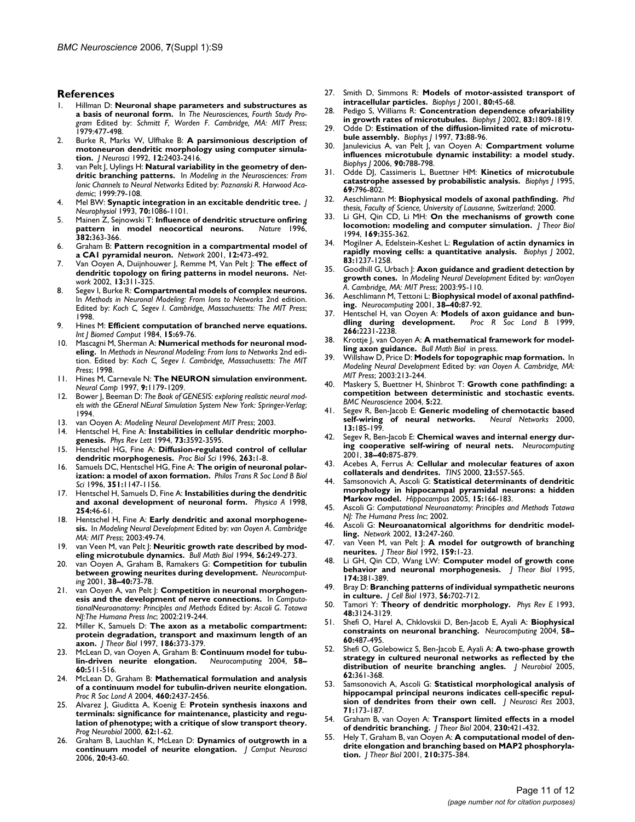#### **References**

- 1. Hillman D: **Neuronal shape parameters and substructures as a basis of neuronal form.** In *The Neurosciences, Fourth Study Program* Edited by: *Schmitt F, Worden F*. *Cambridge, MA: MIT Press*; 1979:477-498.
- 2. Burke R, Marks W, Ulfhake B: **[A parsimonious description of](http://www.ncbi.nlm.nih.gov/entrez/query.fcgi?cmd=Retrieve&db=PubMed&dopt=Abstract&list_uids=1607948) [motoneuron dendritic morphology using computer simula](http://www.ncbi.nlm.nih.gov/entrez/query.fcgi?cmd=Retrieve&db=PubMed&dopt=Abstract&list_uids=1607948)[tion.](http://www.ncbi.nlm.nih.gov/entrez/query.fcgi?cmd=Retrieve&db=PubMed&dopt=Abstract&list_uids=1607948)** *J Neurosci* 1992, **12:**2403-2416.
- 3. van Pelt J, Uylings H: **Natural variability in the geometry of dendritic branching patterns.** In *Modeling in the Neurosciences: From Ionic Channels to Neural Networks* Edited by: *Poznanski R*. *Harwood Academic*; 1999:79-108.
- 4. Mel BW: **[Synaptic integration in an excitable dendritic tree.](http://www.ncbi.nlm.nih.gov/entrez/query.fcgi?cmd=Retrieve&db=PubMed&dopt=Abstract&list_uids=8229160)** *J Neurophysiol* 1993, **70:**1086-1101.
- 5. Mainen Z, Sejnowski T: **[Influence of dendritic structure onfiring](http://www.ncbi.nlm.nih.gov/entrez/query.fcgi?cmd=Retrieve&db=PubMed&dopt=Abstract&list_uids=8684467)** [pattern in model neocortical neurons.](http://www.ncbi.nlm.nih.gov/entrez/query.fcgi?cmd=Retrieve&db=PubMed&dopt=Abstract&list_uids=8684467) **382:**363-366.
- 6. Graham B: **[Pattern recognition in a compartmental model of](http://www.ncbi.nlm.nih.gov/entrez/query.fcgi?cmd=Retrieve&db=PubMed&dopt=Abstract&list_uids=11762900) [a CA1 pyramidal neuron.](http://www.ncbi.nlm.nih.gov/entrez/query.fcgi?cmd=Retrieve&db=PubMed&dopt=Abstract&list_uids=11762900)** *Network* 2001, **12:**473-492.
- 7. Van Ooyen A, Duijnhouwer J, Remme M, Van Pelt J: **[The effect of](http://www.ncbi.nlm.nih.gov/entrez/query.fcgi?cmd=Retrieve&db=PubMed&dopt=Abstract&list_uids=12222816) [dendritic topology on firing patterns in model neurons.](http://www.ncbi.nlm.nih.gov/entrez/query.fcgi?cmd=Retrieve&db=PubMed&dopt=Abstract&list_uids=12222816)** *Network* 2002, **13:**311-325.
- 8. Segev I, Burke R: **Compartmental models of complex neurons.** In *Methods in Neuronal Modeling: From Ions to Networks* 2nd edition. Edited by: *Koch C, Segev I*. *Cambridge, Massachusetts: The MIT Press*; 1998.
- 9. Hines M: **[Efficient computation of branched nerve equations.](http://www.ncbi.nlm.nih.gov/entrez/query.fcgi?cmd=Retrieve&db=PubMed&dopt=Abstract&list_uids=6698635)** *Int J Biomed Comput* 1984, **15:**69-76.
- 10. Mascagni M, Sherman A: **Numerical methods for neuronal modeling.** In *Methods in Neuronal Modeling: From Ions to Networks* 2nd edition. Edited by: *Koch C, Segev I*. *Cambridge, Massachusetts: The MIT Press*; 1998.
- 11. Hines M, Carnevale N: **The NEURON simulation environment.** *Neural Comp* 1997, **9:**1179-1209.
- 12. Bower J, Beeman D: *The Book of GENESIS: exploring realistic neural models with the GEneral NEural Simulation System New York: Springer-Verlag*; 1994.
- 13. van Ooyen A: *Modeling Neural Development MIT Press*; 2003.
- Hentschel H, Fine A: [Instabilities in cellular dendritic morpho](http://www.ncbi.nlm.nih.gov/entrez/query.fcgi?cmd=Retrieve&db=PubMed&dopt=Abstract&list_uids=10057422)**[genesis.](http://www.ncbi.nlm.nih.gov/entrez/query.fcgi?cmd=Retrieve&db=PubMed&dopt=Abstract&list_uids=10057422)** *Phys Rev Lett* 1994, **73:**3592-3595.
- 15. Hentschel HG, Fine A: **[Diffusion-regulated control of cellular](http://www.ncbi.nlm.nih.gov/entrez/query.fcgi?cmd=Retrieve&db=PubMed&dopt=Abstract&list_uids=8587892) [dendritic morphogenesis.](http://www.ncbi.nlm.nih.gov/entrez/query.fcgi?cmd=Retrieve&db=PubMed&dopt=Abstract&list_uids=8587892)** *Proc Biol Sci* 1996, **263:**1-8.
- 16. Samuels DC, Hentschel HG, Fine A: **[The origin of neuronal polar](http://www.ncbi.nlm.nih.gov/entrez/query.fcgi?cmd=Retrieve&db=PubMed&dopt=Abstract&list_uids=8899865)[ization: a model of axon formation.](http://www.ncbi.nlm.nih.gov/entrez/query.fcgi?cmd=Retrieve&db=PubMed&dopt=Abstract&list_uids=8899865)** *Philos Trans R Soc Lond B Biol Sci* 1996, **351:**1147-1156.
- 17. Hentschel H, Samuels D, Fine A: **Instabilities during the dendritic and axonal development of neuronal form.** *Physica A* 1998, **254:**46-61.
- 18. Hentschel H, Fine A: **Early dendritic and axonal morphogenesis.** In *Modeling Neural Development* Edited by: *van Ooyen A*. *Cambridge MA: MIT Press*; 2003:49-74.
- 19. van Veen M, van Pelt J: **[Neuritic growth rate described by mod](http://www.ncbi.nlm.nih.gov/entrez/query.fcgi?cmd=Retrieve&db=PubMed&dopt=Abstract&list_uids=8186754)[eling microtubule dynamics.](http://www.ncbi.nlm.nih.gov/entrez/query.fcgi?cmd=Retrieve&db=PubMed&dopt=Abstract&list_uids=8186754)** *Bull Math Biol* 1994, **56:**249-273.
- 20. van Ooyen A, Graham B, Ramakers G: **Competition for tubulin between growing neurites during development.** *Neurocomputing* 2001, **38–40:**73-78.
- 21. van Ooyen A, van Pelt J: **Competition in neuronal morphogenesis and the development of nerve connections.** In *ComputationalNeuroanatomy: Principles and Methods* Edited by: *Ascoli G*. *Totawa NJ:The Humana Press Inc*; 2002:219-244.
- 22. Miller K, Samuels D: **[The axon as a metabolic compartment:](http://www.ncbi.nlm.nih.gov/entrez/query.fcgi?cmd=Retrieve&db=PubMed&dopt=Abstract&list_uids=9219672) [protein degradation, transport and maximum length of an](http://www.ncbi.nlm.nih.gov/entrez/query.fcgi?cmd=Retrieve&db=PubMed&dopt=Abstract&list_uids=9219672) [axon.](http://www.ncbi.nlm.nih.gov/entrez/query.fcgi?cmd=Retrieve&db=PubMed&dopt=Abstract&list_uids=9219672)** *J Theor Biol* 1997, **186:**373-379.
- 23. McLean D, van Ooyen A, Graham B: **Continuum model for tubulin-driven neurite elongation.** *Neurocomputing* 2004, **58– 60:**511-516.
- 24. McLean D, Graham B: **Mathematical formulation and analysis of a continuum model for tubulin-driven neurite elongation.** *Proc R Soc Lond A* 2004, **460:**2437-2456.
- 25. Alvarez J, Giuditta A, Koenig E: **[Protein synthesis inaxons and](http://www.ncbi.nlm.nih.gov/entrez/query.fcgi?cmd=Retrieve&db=PubMed&dopt=Abstract&list_uids=10821981) [terminals: significance for maintenance, plasticity and regu](http://www.ncbi.nlm.nih.gov/entrez/query.fcgi?cmd=Retrieve&db=PubMed&dopt=Abstract&list_uids=10821981)lation of phenotype; with a critique of slow transport theory.** *Prog Neurobiol* 2000, **62:**1-62.
- 26. Graham B, Lauchlan K, McLean D: **[Dynamics of outgrowth in a](http://www.ncbi.nlm.nih.gov/entrez/query.fcgi?cmd=Retrieve&db=PubMed&dopt=Abstract&list_uids=16649067) [continuum model of neurite elongation.](http://www.ncbi.nlm.nih.gov/entrez/query.fcgi?cmd=Retrieve&db=PubMed&dopt=Abstract&list_uids=16649067)** *J Comput Neurosci* 2006, **20:**43-60.
- 27. Smith D, Simmons R: **[Models of motor-assisted transport of](http://www.ncbi.nlm.nih.gov/entrez/query.fcgi?cmd=Retrieve&db=PubMed&dopt=Abstract&list_uids=11159382) [intracellular particles.](http://www.ncbi.nlm.nih.gov/entrez/query.fcgi?cmd=Retrieve&db=PubMed&dopt=Abstract&list_uids=11159382)** *Biophys J* 2001, **80:**45-68.
- 28. Pedigo S, Williams R: **[Concentration dependence ofvariability](http://www.ncbi.nlm.nih.gov/entrez/query.fcgi?cmd=Retrieve&db=PubMed&dopt=Abstract&list_uids=12324403) [in growth rates of microtubules.](http://www.ncbi.nlm.nih.gov/entrez/query.fcgi?cmd=Retrieve&db=PubMed&dopt=Abstract&list_uids=12324403)** *Biophys J* 2002, **83:**1809-1819.
- 29. Odde D: **[Estimation of the diffusion-limited rate of microtu](http://www.ncbi.nlm.nih.gov/entrez/query.fcgi?cmd=Retrieve&db=PubMed&dopt=Abstract&list_uids=9199774)[bule assembly.](http://www.ncbi.nlm.nih.gov/entrez/query.fcgi?cmd=Retrieve&db=PubMed&dopt=Abstract&list_uids=9199774)** *Biophys J* 1997, **73:**88-96.
- 30. Janulevicius A, van Pelt J, van Ooyen A: **[Compartment volume](http://www.ncbi.nlm.nih.gov/entrez/query.fcgi?cmd=Retrieve&db=PubMed&dopt=Abstract&list_uids=16410484) [influences microtubule dynamic instability: a model study.](http://www.ncbi.nlm.nih.gov/entrez/query.fcgi?cmd=Retrieve&db=PubMed&dopt=Abstract&list_uids=16410484)** *Biophys J* 2006, **90:**788-798.
- 31. Odde DJ, Cassimeris L, Buettner HM: **[Kinetics of microtubule](http://www.ncbi.nlm.nih.gov/entrez/query.fcgi?cmd=Retrieve&db=PubMed&dopt=Abstract&list_uids=8519980) [catastrophe assessed by probabilistic analysis.](http://www.ncbi.nlm.nih.gov/entrez/query.fcgi?cmd=Retrieve&db=PubMed&dopt=Abstract&list_uids=8519980)** *Biophys J* 1995, **69:**796-802.
- 32. Aeschlimann M: **Biophysical models of axonal pathfinding.** *Phd thesis, Faculty of Science, University of Lausanne, Switzerland*; 2000.
- 33. Li GH, Qin CD, Li MH: **[On the mechanisms of growth cone](http://www.ncbi.nlm.nih.gov/entrez/query.fcgi?cmd=Retrieve&db=PubMed&dopt=Abstract&list_uids=7967628) [locomotion: modeling and computer simulation.](http://www.ncbi.nlm.nih.gov/entrez/query.fcgi?cmd=Retrieve&db=PubMed&dopt=Abstract&list_uids=7967628)** *J Theor Biol* 1994, **169:**355-362.
- 34. Mogilner A, Edelstein-Keshet L: **[Regulation of actin dynamics in](http://www.ncbi.nlm.nih.gov/entrez/query.fcgi?cmd=Retrieve&db=PubMed&dopt=Abstract&list_uids=12202352) [rapidly moving cells: a quantitative analysis.](http://www.ncbi.nlm.nih.gov/entrez/query.fcgi?cmd=Retrieve&db=PubMed&dopt=Abstract&list_uids=12202352)** *Biophys J* 2002, **83:**1237-1258.
- 35. Goodhill G, Urbach J: **Axon guidance and gradient detection by growth cones.** In *Modeling Neural Development* Edited by: *vanOoyen A*. *Cambridge, MA: MIT Press*; 2003:95-110.
- 36. Aeschlimann M, Tettoni L: **Biophysical model of axonal pathfinding.** *Neurocomputing* 2001, **38–40:**87-92.
- 37. Hentschel H, van Ooyen A: **Models of axon guidance and bun**dling during development. **266:**2231-2238.
- 38. Krottje J, van Ooyen A: **A mathematical framework for modelling axon guidance.** *Bull Math Biol* in press.
- 39. Willshaw D, Price D: **Models for topographic map formation.** In *Modeling Neural Development* Edited by: *van Ooyen A*. *Cambridge, MA: MIT Press*; 2003:213-244.
- 40. Maskery S, Buettner H, Shinbrot T: **[Growth cone pathfinding: a](http://www.ncbi.nlm.nih.gov/entrez/query.fcgi?cmd=Retrieve&db=PubMed&dopt=Abstract&list_uids=15242518) [competition between deterministic and stochastic events.](http://www.ncbi.nlm.nih.gov/entrez/query.fcgi?cmd=Retrieve&db=PubMed&dopt=Abstract&list_uids=15242518)** *BMC Neuroscience* 2004, **5:**22.
- 41. Segev R, Ben-Jacob E: **[Generic modeling of chemotactic based](http://www.ncbi.nlm.nih.gov/entrez/query.fcgi?cmd=Retrieve&db=PubMed&dopt=Abstract&list_uids=10935760)** [self-wiring of neural networks.](http://www.ncbi.nlm.nih.gov/entrez/query.fcgi?cmd=Retrieve&db=PubMed&dopt=Abstract&list_uids=10935760) **13:**185-199.
- 42. Segev R, Ben-Jacob E: **Chemical waves and internal energy during cooperative self-wiring of neural nets.** *Neurocomputing* 2001, **38–40:**875-879.
- Acebes A, Ferrus A: [Cellular and molecular features of axon](http://www.ncbi.nlm.nih.gov/entrez/query.fcgi?cmd=Retrieve&db=PubMed&dopt=Abstract&list_uids=11074265) **[collaterals and dendrites.](http://www.ncbi.nlm.nih.gov/entrez/query.fcgi?cmd=Retrieve&db=PubMed&dopt=Abstract&list_uids=11074265)** *TINS* 2000, **23:**557-565.
- 44. Samsonovich A, Ascoli G: **[Statistical determinants of dendritic](http://www.ncbi.nlm.nih.gov/entrez/query.fcgi?cmd=Retrieve&db=PubMed&dopt=Abstract&list_uids=15390156) [morphology in hippocampal pyramidal neurons: a hidden](http://www.ncbi.nlm.nih.gov/entrez/query.fcgi?cmd=Retrieve&db=PubMed&dopt=Abstract&list_uids=15390156) [Markov model.](http://www.ncbi.nlm.nih.gov/entrez/query.fcgi?cmd=Retrieve&db=PubMed&dopt=Abstract&list_uids=15390156)** *Hippocampus* 2005, **15:**166-183.
- 45. Ascoli G: *Computational Neuroanatomy: Principles and Methods Totawa NJ: The Humana Press Inc*; 2002.
- 46. Ascoli G: **[Neuroanatomical algorithms for dendritic model](http://www.ncbi.nlm.nih.gov/entrez/query.fcgi?cmd=Retrieve&db=PubMed&dopt=Abstract&list_uids=12222813)[ling.](http://www.ncbi.nlm.nih.gov/entrez/query.fcgi?cmd=Retrieve&db=PubMed&dopt=Abstract&list_uids=12222813)** *Network* 2002, **13:**247-260.
- 47. van Veen M, van Pelt J: **A model for outgrowth of branching neurites.** *J Theor Biol* 1992, **159:**1-23.
- 48. Li GH, Qin CD, Wang LW: **Computer model of growth cone behavior and neuronal morphogenesis.** *J Theor Biol* 1995, **174:**381-389.
- 49. Bray D: **[Branching patterns of individual sympathetic neurons](http://www.ncbi.nlm.nih.gov/entrez/query.fcgi?cmd=Retrieve&db=PubMed&dopt=Abstract&list_uids=4687915) [in culture.](http://www.ncbi.nlm.nih.gov/entrez/query.fcgi?cmd=Retrieve&db=PubMed&dopt=Abstract&list_uids=4687915)** *J Cell Biol* 1973, **56:**702-712.
- 50. Tamori Y: **Theory of dendritic morphology.** *Phys Rev E* 1993, **48:**3124-3129.
- 51. Shefi O, Harel A, Chklovskii D, Ben-Jacob E, Ayali A: **Biophysical constraints on neuronal branching.** *Neurocomputing* 2004, **58– 60:**487-495.
- 52. Shefi O, Golebowicz S, Ben-Jacob E, Ayali A: **[A two-phase growth](http://www.ncbi.nlm.nih.gov/entrez/query.fcgi?cmd=Retrieve&db=PubMed&dopt=Abstract&list_uids=15514989) [strategy in cultured neuronal networks as reflected by the](http://www.ncbi.nlm.nih.gov/entrez/query.fcgi?cmd=Retrieve&db=PubMed&dopt=Abstract&list_uids=15514989) [distribution of neurite branching angles.](http://www.ncbi.nlm.nih.gov/entrez/query.fcgi?cmd=Retrieve&db=PubMed&dopt=Abstract&list_uids=15514989)** *J Neurobiol* 2005, **62:**361-368.
- 53. Samsonovich A, Ascoli G: **[Statistical morphological analysis of](http://www.ncbi.nlm.nih.gov/entrez/query.fcgi?cmd=Retrieve&db=PubMed&dopt=Abstract&list_uids=12503080) [hippocampal principal neurons indicates cell-specific repul](http://www.ncbi.nlm.nih.gov/entrez/query.fcgi?cmd=Retrieve&db=PubMed&dopt=Abstract&list_uids=12503080)[sion of dendrites from their own cell.](http://www.ncbi.nlm.nih.gov/entrez/query.fcgi?cmd=Retrieve&db=PubMed&dopt=Abstract&list_uids=12503080)** *J Neurosci Res* 2003, **71:**173-187.
- 54. Graham B, van Ooyen A: **[Transport limited effects in a model](http://www.ncbi.nlm.nih.gov/entrez/query.fcgi?cmd=Retrieve&db=PubMed&dopt=Abstract&list_uids=15321709) [of dendritic branching.](http://www.ncbi.nlm.nih.gov/entrez/query.fcgi?cmd=Retrieve&db=PubMed&dopt=Abstract&list_uids=15321709)** *J Theor Biol* 2004, **230:**421-432.
- 55. Hely T, Graham B, van Ooyen A: **[A computational model of den](http://www.ncbi.nlm.nih.gov/entrez/query.fcgi?cmd=Retrieve&db=PubMed&dopt=Abstract&list_uids=11397138)[drite elongation and branching based on MAP2 phosphoryla](http://www.ncbi.nlm.nih.gov/entrez/query.fcgi?cmd=Retrieve&db=PubMed&dopt=Abstract&list_uids=11397138)[tion.](http://www.ncbi.nlm.nih.gov/entrez/query.fcgi?cmd=Retrieve&db=PubMed&dopt=Abstract&list_uids=11397138)** *J Theor Biol* 2001, **210:**375-384.